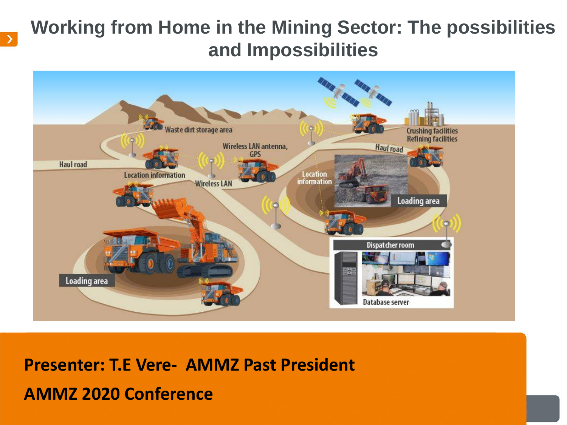## **Working from Home in the Mining Sector: The possibilities and Impossibilities**



**Presenter: T.E Vere- AMMZ Past President AMMZ 2020 Conference**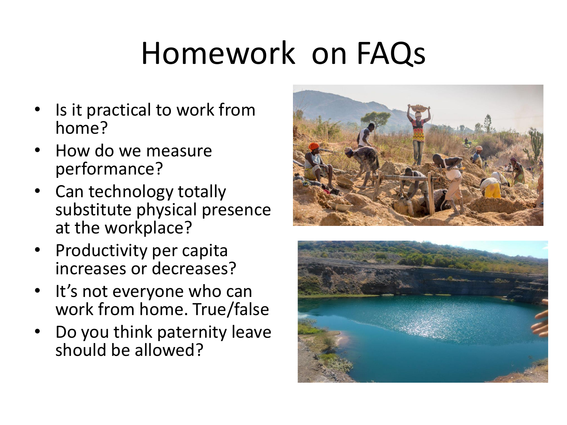# Homework on FAQs

- Is it practical to work from home?
- How do we measure performance?
- Can technology totally substitute physical presence at the workplace?
- Productivity per capita increases or decreases?
- It's not everyone who can work from home. True/false
- Do you think paternity leave should be allowed?



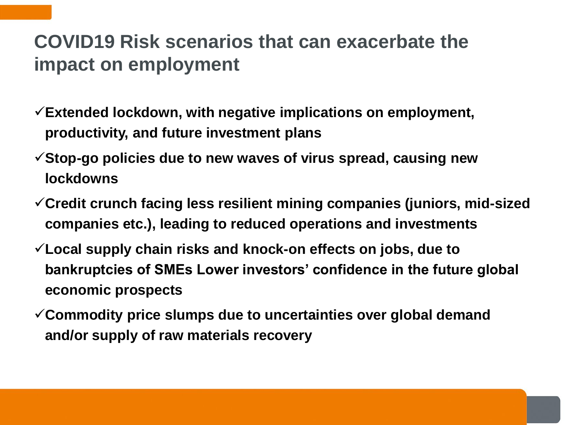## **COVID19 Risk scenarios that can exacerbate the impact on employment**

- ✓**Extended lockdown, with negative implications on employment, productivity, and future investment plans**
- ✓**Stop-go policies due to new waves of virus spread, causing new lockdowns**
- ✓**Credit crunch facing less resilient mining companies (juniors, mid-sized companies etc.), leading to reduced operations and investments**
- ✓**Local supply chain risks and knock-on effects on jobs, due to bankruptcies of SMEs Lower investors' confidence in the future global economic prospects**
- ✓**Commodity price slumps due to uncertainties over global demand and/or supply of raw materials recovery**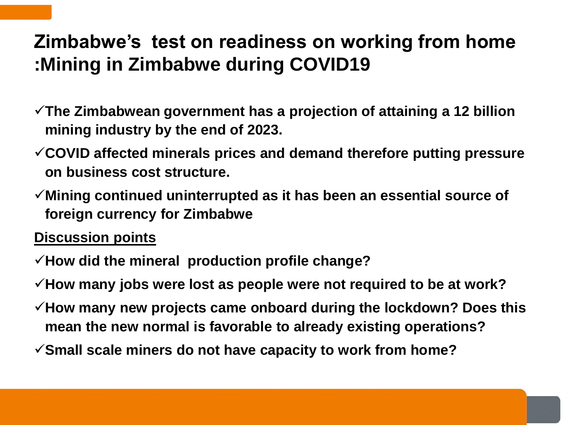# **Zimbabwe's test on readiness on working from home :Mining in Zimbabwe during COVID19**

- ✓**The Zimbabwean government has a projection of attaining a 12 billion mining industry by the end of 2023.**
- ✓**COVID affected minerals prices and demand therefore putting pressure on business cost structure.**
- ✓**Mining continued uninterrupted as it has been an essential source of foreign currency for Zimbabwe**

#### **Discussion points**

- ✓**How did the mineral production profile change?**
- ✓**How many jobs were lost as people were not required to be at work?**
- ✓**How many new projects came onboard during the lockdown? Does this mean the new normal is favorable to already existing operations?**
- ✓**Small scale miners do not have capacity to work from home?**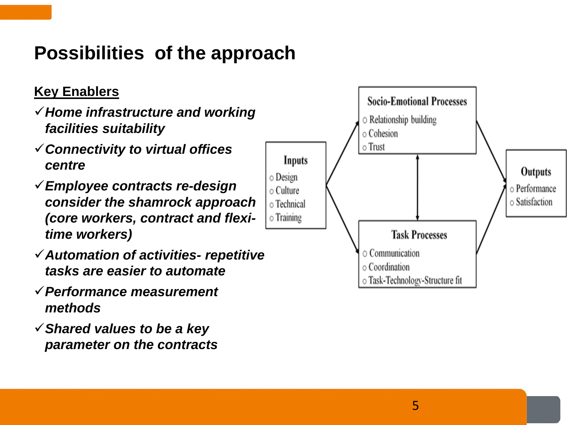# **Possibilities of the approach**

#### **Key Enablers**

- ✓*Home infrastructure and working facilities suitability*
- ✓*Connectivity to virtual offices centre*
- ✓*Employee contracts re-design consider the shamrock approach (core workers, contract and flexitime workers)*
- ✓*Automation of activities- repetitive tasks are easier to automate*
- ✓*Performance measurement methods*
- ✓*Shared values to be a key parameter on the contracts*

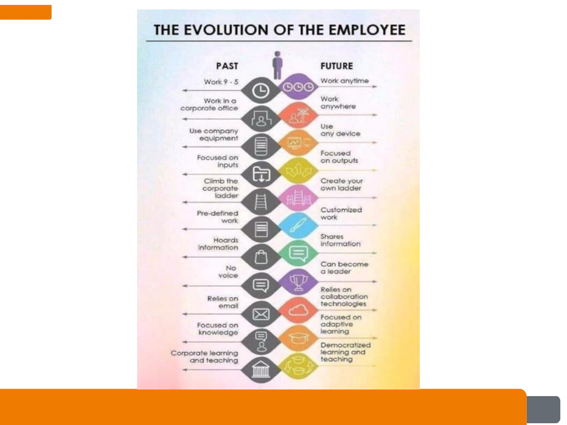#### THE EVOLUTION OF THE EMPLOYEE

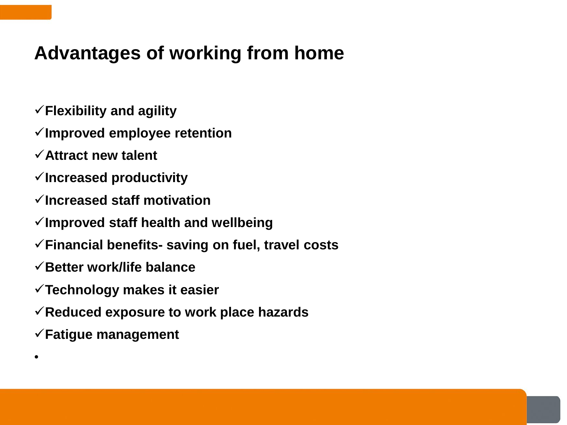### **Advantages of working from home**

- ✓**Flexibility and agility**
- ✓**Improved employee retention**
- ✓**Attract new talent**
- ✓**Increased productivity**
- ✓**Increased staff motivation**
- ✓**Improved staff health and wellbeing**
- ✓**Financial benefits- saving on fuel, travel costs**
- ✓**Better work/life balance**
- ✓**Technology makes it easier**
- ✓**Reduced exposure to work place hazards**
- ✓**Fatigue management**

•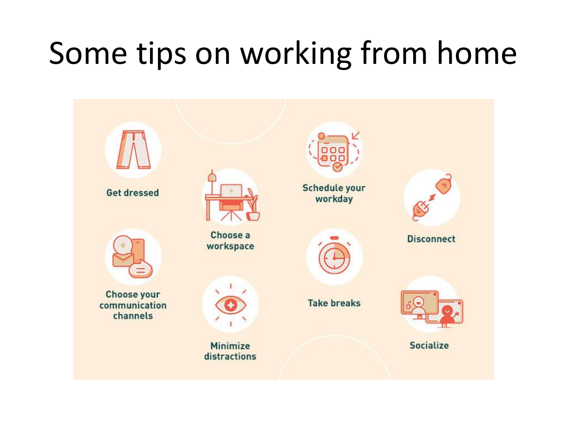# Some tips on working from home

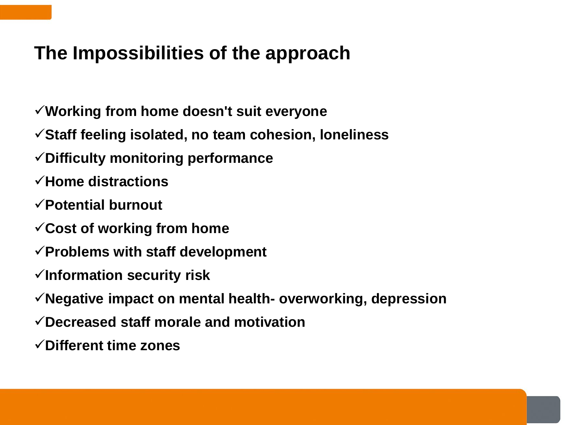### **The Impossibilities of the approach**

- ✓**Working from home doesn't suit everyone**
- ✓**Staff feeling isolated, no team cohesion, loneliness**
- ✓**Difficulty monitoring performance**
- ✓**Home distractions**
- ✓**Potential burnout**
- ✓**Cost of working from home**
- ✓**Problems with staff development**
- ✓**Information security risk**
- ✓**Negative impact on mental health- overworking, depression**
- ✓**Decreased staff morale and motivation**
- ✓**Different time zones**